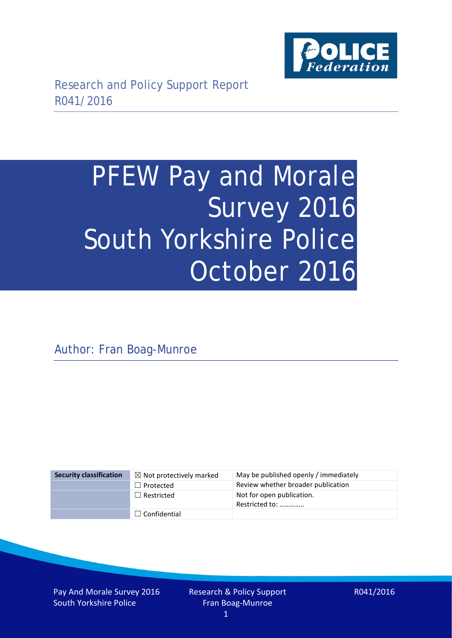

# PFEW Pay and Morale Survey 2016 South Yorkshire Police October 2016

Author: Fran Boag-Munroe

| <b>Security classification</b> | $\boxtimes$ Not protectively marked | May be published openly / immediately       |
|--------------------------------|-------------------------------------|---------------------------------------------|
|                                | $\Box$ Protected                    | Review whether broader publication          |
|                                | $\Box$ Restricted                   | Not for open publication.<br>Restricted to: |
|                                | $\Box$ Confidential                 |                                             |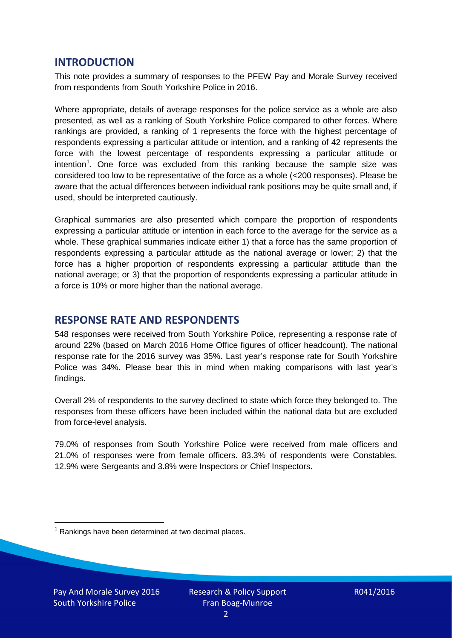## **INTRODUCTION**

This note provides a summary of responses to the PFEW Pay and Morale Survey received from respondents from South Yorkshire Police in 2016.

Where appropriate, details of average responses for the police service as a whole are also presented, as well as a ranking of South Yorkshire Police compared to other forces. Where rankings are provided, a ranking of 1 represents the force with the highest percentage of respondents expressing a particular attitude or intention, and a ranking of 42 represents the force with the lowest percentage of respondents expressing a particular attitude or intention<sup>[1](#page-1-0)</sup>. One force was excluded from this ranking because the sample size was considered too low to be representative of the force as a whole (<200 responses). Please be aware that the actual differences between individual rank positions may be quite small and, if used, should be interpreted cautiously.

Graphical summaries are also presented which compare the proportion of respondents expressing a particular attitude or intention in each force to the average for the service as a whole. These graphical summaries indicate either 1) that a force has the same proportion of respondents expressing a particular attitude as the national average or lower; 2) that the force has a higher proportion of respondents expressing a particular attitude than the national average; or 3) that the proportion of respondents expressing a particular attitude in a force is 10% or more higher than the national average.

# **RESPONSE RATE AND RESPONDENTS**

548 responses were received from South Yorkshire Police, representing a response rate of around 22% (based on March 2016 Home Office figures of officer headcount). The national response rate for the 2016 survey was 35%. Last year's response rate for South Yorkshire Police was 34%. Please bear this in mind when making comparisons with last year's findings.

Overall 2% of respondents to the survey declined to state which force they belonged to. The responses from these officers have been included within the national data but are excluded from force-level analysis.

79.0% of responses from South Yorkshire Police were received from male officers and 21.0% of responses were from female officers. 83.3% of respondents were Constables, 12.9% were Sergeants and 3.8% were Inspectors or Chief Inspectors.

<span id="page-1-0"></span> $1$  Rankings have been determined at two decimal places.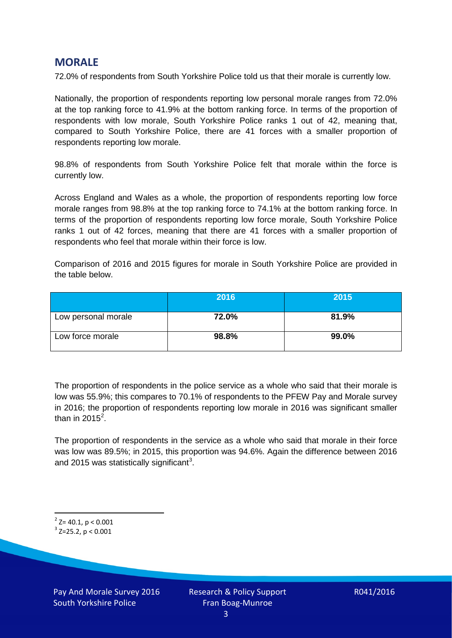# **MORALE**

72.0% of respondents from South Yorkshire Police told us that their morale is currently low.

Nationally, the proportion of respondents reporting low personal morale ranges from 72.0% at the top ranking force to 41.9% at the bottom ranking force. In terms of the proportion of respondents with low morale, South Yorkshire Police ranks 1 out of 42, meaning that, compared to South Yorkshire Police, there are 41 forces with a smaller proportion of respondents reporting low morale.

98.8% of respondents from South Yorkshire Police felt that morale within the force is currently low.

Across England and Wales as a whole, the proportion of respondents reporting low force morale ranges from 98.8% at the top ranking force to 74.1% at the bottom ranking force. In terms of the proportion of respondents reporting low force morale, South Yorkshire Police ranks 1 out of 42 forces, meaning that there are 41 forces with a smaller proportion of respondents who feel that morale within their force is low.

Comparison of 2016 and 2015 figures for morale in South Yorkshire Police are provided in the table below.

|                     | 2016  | 2015  |
|---------------------|-------|-------|
| Low personal morale | 72.0% | 81.9% |
| Low force morale    | 98.8% | 99.0% |

The proportion of respondents in the police service as a whole who said that their morale is low was 55.9%; this compares to 70.1% of respondents to the PFEW Pay and Morale survey in 2016; the proportion of respondents reporting low morale in 2016 was significant smaller than in [2](#page-2-0)015 $^2$ .

The proportion of respondents in the service as a whole who said that morale in their force was low was 89.5%; in 2015, this proportion was 94.6%. Again the difference between 2016 and 2015 was statistically significant<sup>[3](#page-2-1)</sup>.

<span id="page-2-0"></span> $2$ <sup>2</sup> Z= 40.1, p < 0.001

<span id="page-2-1"></span> $3$  Z=25.2, p < 0.001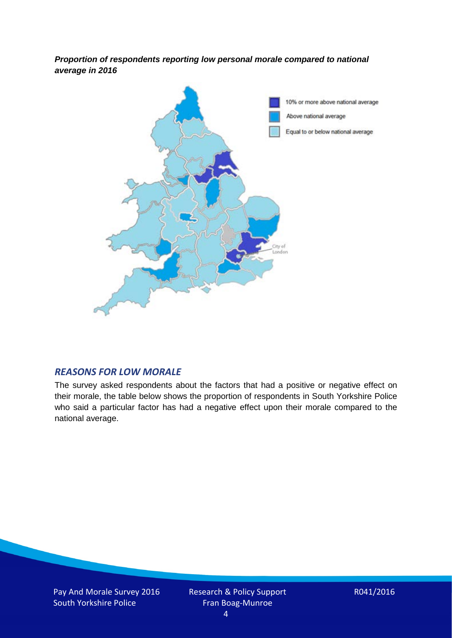*Proportion of respondents reporting low personal morale compared to national average in 2016*



#### *REASONS FOR LOW MORALE*

The survey asked respondents about the factors that had a positive or negative effect on their morale, the table below shows the proportion of respondents in South Yorkshire Police who said a particular factor has had a negative effect upon their morale compared to the national average.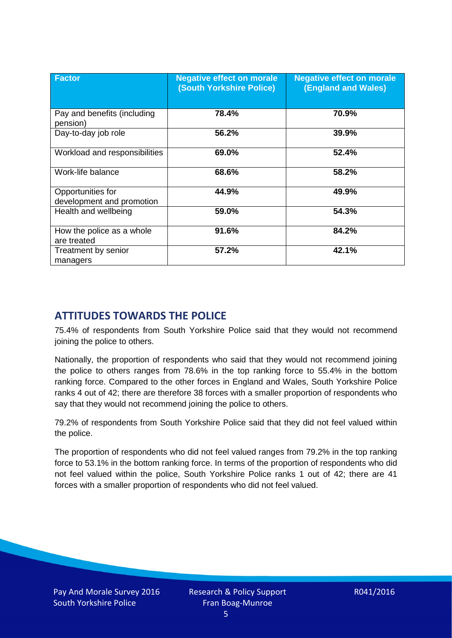| <b>Factor</b>                                  | <b>Negative effect on morale</b><br><b>(South Yorkshire Police)</b> | <b>Negative effect on morale</b><br><b>(England and Wales)</b> |
|------------------------------------------------|---------------------------------------------------------------------|----------------------------------------------------------------|
| Pay and benefits (including<br>pension)        | 78.4%                                                               | 70.9%                                                          |
| Day-to-day job role                            | 56.2%                                                               | 39.9%                                                          |
| Workload and responsibilities                  | 69.0%                                                               | 52.4%                                                          |
| Work-life balance                              | 68.6%                                                               | 58.2%                                                          |
| Opportunities for<br>development and promotion | 44.9%                                                               | 49.9%                                                          |
| Health and wellbeing                           | 59.0%                                                               | 54.3%                                                          |
| How the police as a whole<br>are treated       | 91.6%                                                               | 84.2%                                                          |
| Treatment by senior<br>managers                | 57.2%                                                               | 42.1%                                                          |

# **ATTITUDES TOWARDS THE POLICE**

75.4% of respondents from South Yorkshire Police said that they would not recommend joining the police to others.

Nationally, the proportion of respondents who said that they would not recommend joining the police to others ranges from 78.6% in the top ranking force to 55.4% in the bottom ranking force. Compared to the other forces in England and Wales, South Yorkshire Police ranks 4 out of 42; there are therefore 38 forces with a smaller proportion of respondents who say that they would not recommend joining the police to others.

79.2% of respondents from South Yorkshire Police said that they did not feel valued within the police.

The proportion of respondents who did not feel valued ranges from 79.2% in the top ranking force to 53.1% in the bottom ranking force. In terms of the proportion of respondents who did not feel valued within the police, South Yorkshire Police ranks 1 out of 42; there are 41 forces with a smaller proportion of respondents who did not feel valued.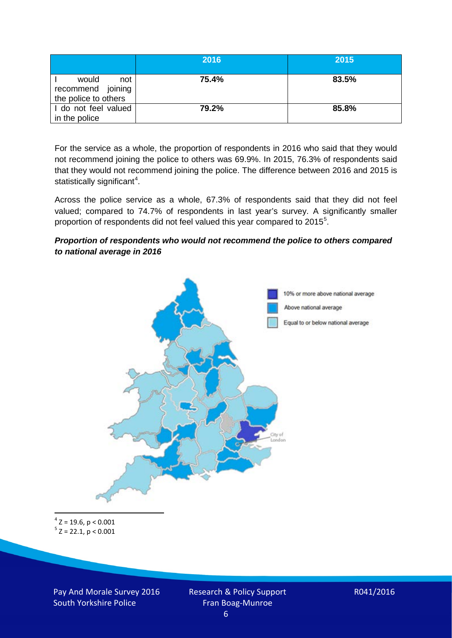|                                                           | 2016  | 2015  |
|-----------------------------------------------------------|-------|-------|
| would<br>not<br>recommend joining<br>the police to others | 75.4% | 83.5% |
| I do not feel valued<br>in the police                     | 79.2% | 85.8% |

For the service as a whole, the proportion of respondents in 2016 who said that they would not recommend joining the police to others was 69.9%. In 2015, 76.3% of respondents said that they would not recommend joining the police. The difference between 2016 and 2015 is statistically significant<sup>[4](#page-5-0)</sup>.

Across the police service as a whole, 67.3% of respondents said that they did not feel valued; compared to 74.7% of respondents in last year's survey. A significantly smaller proportion of respondents did not feel valued this year compared to 201[5](#page-5-1)<sup>5</sup>.

#### *Proportion of respondents who would not recommend the police to others compared to national average in 2016*



<span id="page-5-1"></span><span id="page-5-0"></span> $4$  Z = 19.6, p < 0.001  $5$  Z = 22.1, p < 0.001

Pay And Morale Survey 2016 South Yorkshire Police

Research & Policy Support Fran Boag-Munroe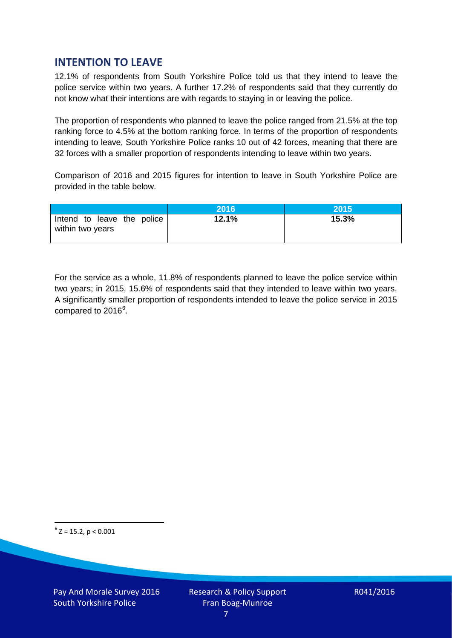# **INTENTION TO LEAVE**

12.1% of respondents from South Yorkshire Police told us that they intend to leave the police service within two years. A further 17.2% of respondents said that they currently do not know what their intentions are with regards to staying in or leaving the police.

The proportion of respondents who planned to leave the police ranged from 21.5% at the top ranking force to 4.5% at the bottom ranking force. In terms of the proportion of respondents intending to leave, South Yorkshire Police ranks 10 out of 42 forces, meaning that there are 32 forces with a smaller proportion of respondents intending to leave within two years.

Comparison of 2016 and 2015 figures for intention to leave in South Yorkshire Police are provided in the table below.

|                                                | 2016  | 2015  |
|------------------------------------------------|-------|-------|
| Intend to leave the police<br>within two years | 12.1% | 15.3% |

For the service as a whole, 11.8% of respondents planned to leave the police service within two years; in 2015, 15.6% of respondents said that they intended to leave within two years. A significantly smaller proportion of respondents intended to leave the police service in 2015 compared to 201[6](#page-6-0)<sup>6</sup>.

<span id="page-6-0"></span> $6$  Z = 15.2, p < 0.001

Pay And Morale Survey 2016 South Yorkshire Police

Research & Policy Support Fran Boag-Munroe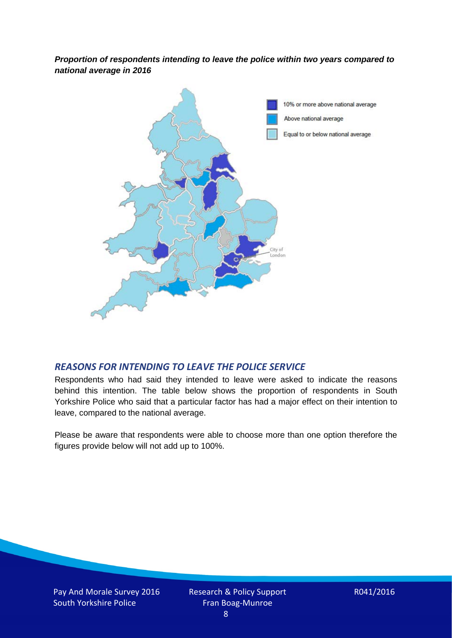*Proportion of respondents intending to leave the police within two years compared to national average in 2016*



### *REASONS FOR INTENDING TO LEAVE THE POLICE SERVICE*

Respondents who had said they intended to leave were asked to indicate the reasons behind this intention. The table below shows the proportion of respondents in South Yorkshire Police who said that a particular factor has had a major effect on their intention to leave, compared to the national average.

Please be aware that respondents were able to choose more than one option therefore the figures provide below will not add up to 100%.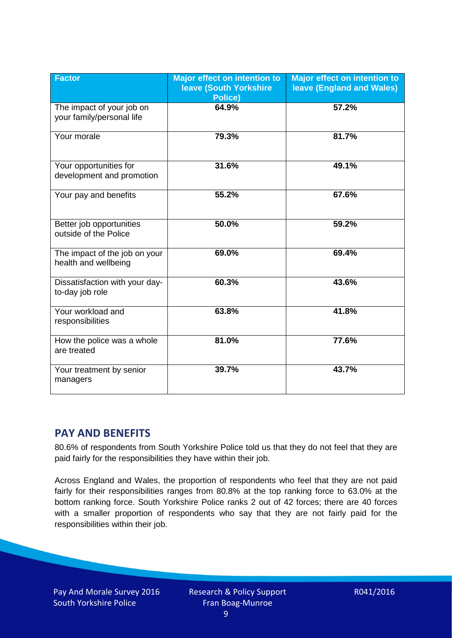| <b>Factor</b>                                          | <b>Major effect on intention to</b><br><b>Ieave (South Yorkshire</b><br><b>Police)</b> | <b>Major effect on intention to</b><br><b>leave (England and Wales)</b> |
|--------------------------------------------------------|----------------------------------------------------------------------------------------|-------------------------------------------------------------------------|
| The impact of your job on<br>your family/personal life | 64.9%                                                                                  | 57.2%                                                                   |
| Your morale                                            | 79.3%                                                                                  | 81.7%                                                                   |
| Your opportunities for<br>development and promotion    | 31.6%                                                                                  | 49.1%                                                                   |
| Your pay and benefits                                  | 55.2%                                                                                  | 67.6%                                                                   |
| Better job opportunities<br>outside of the Police      | 50.0%                                                                                  | 59.2%                                                                   |
| The impact of the job on your<br>health and wellbeing  | 69.0%                                                                                  | 69.4%                                                                   |
| Dissatisfaction with your day-<br>to-day job role      | 60.3%                                                                                  | 43.6%                                                                   |
| Your workload and<br>responsibilities                  | 63.8%                                                                                  | 41.8%                                                                   |
| How the police was a whole<br>are treated              | 81.0%                                                                                  | 77.6%                                                                   |
| Your treatment by senior<br>managers                   | 39.7%                                                                                  | 43.7%                                                                   |

# **PAY AND BENEFITS**

80.6% of respondents from South Yorkshire Police told us that they do not feel that they are paid fairly for the responsibilities they have within their job.

Across England and Wales, the proportion of respondents who feel that they are not paid fairly for their responsibilities ranges from 80.8% at the top ranking force to 63.0% at the bottom ranking force. South Yorkshire Police ranks 2 out of 42 forces; there are 40 forces with a smaller proportion of respondents who say that they are not fairly paid for the responsibilities within their job.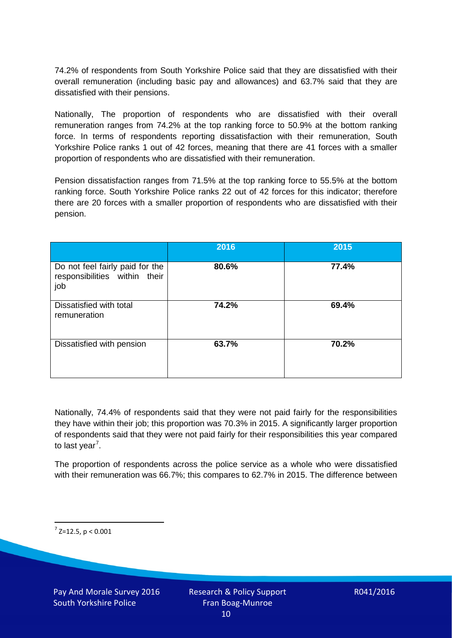74.2% of respondents from South Yorkshire Police said that they are dissatisfied with their overall remuneration (including basic pay and allowances) and 63.7% said that they are dissatisfied with their pensions.

Nationally, The proportion of respondents who are dissatisfied with their overall remuneration ranges from 74.2% at the top ranking force to 50.9% at the bottom ranking force. In terms of respondents reporting dissatisfaction with their remuneration, South Yorkshire Police ranks 1 out of 42 forces, meaning that there are 41 forces with a smaller proportion of respondents who are dissatisfied with their remuneration.

Pension dissatisfaction ranges from 71.5% at the top ranking force to 55.5% at the bottom ranking force. South Yorkshire Police ranks 22 out of 42 forces for this indicator; therefore there are 20 forces with a smaller proportion of respondents who are dissatisfied with their pension.

|                                                                         | 2016  | 2015  |
|-------------------------------------------------------------------------|-------|-------|
| Do not feel fairly paid for the<br>responsibilities within their<br>job | 80.6% | 77.4% |
| Dissatisfied with total<br>remuneration                                 | 74.2% | 69.4% |
| Dissatisfied with pension                                               | 63.7% | 70.2% |

Nationally, 74.4% of respondents said that they were not paid fairly for the responsibilities they have within their job; this proportion was 70.3% in 2015. A significantly larger proportion of respondents said that they were not paid fairly for their responsibilities this year compared to last year<sup>[7](#page-9-0)</sup>.

The proportion of respondents across the police service as a whole who were dissatisfied with their remuneration was 66.7%; this compares to 62.7% in 2015. The difference between

<span id="page-9-0"></span> $7$  Z=12.5, p < 0.001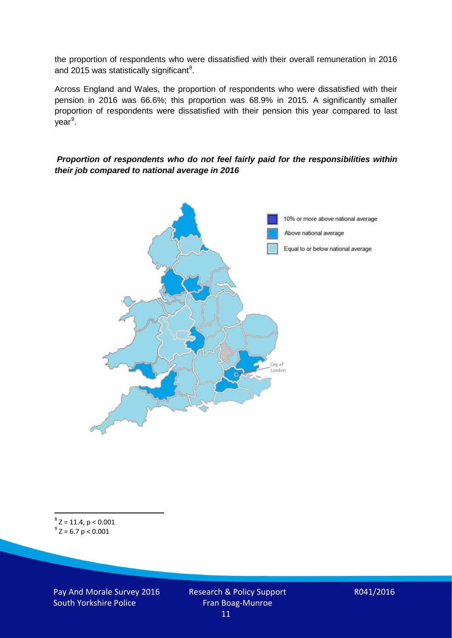the proportion of respondents who were dissatisfied with their overall remuneration in 2016 and 2015 was statistically significant<sup>[8](#page-10-0)</sup>.

Across England and Wales, the proportion of respondents who were dissatisfied with their pension in 2016 was 66.6%; this proportion was 68.9% in 2015. A significantly smaller proportion of respondents were dissatisfied with their pension this year compared to last year<sup>[9](#page-10-1)</sup>.

#### *Proportion of respondents who do not feel fairly paid for the responsibilities within their job compared to national average in 2016*



<span id="page-10-1"></span><span id="page-10-0"></span> $8$  Z = 11.4, p < 0.001  $9^{\circ}$  Z = 6.7 p < 0.001

Pay And Morale Survey 2016 South Yorkshire Police

Research & Policy Support Fran Boag-Munroe 11